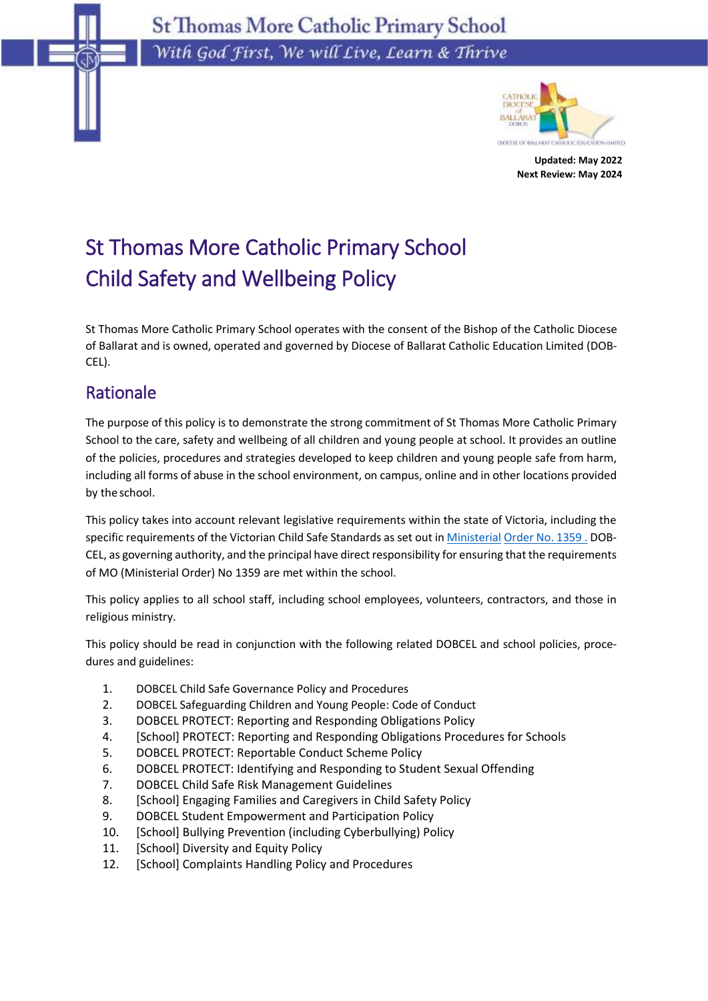**St Thomas More Catholic Primary School** With God First, We will Live, Learn & Thrive



**Updated: May 2022 Next Review: May 2024**

# St Thomas More Catholic Primary School Child Safety and Wellbeing Policy

St Thomas More Catholic Primary School operates with the consent of the Bishop of the Catholic Diocese of Ballarat and is owned, operated and governed by Diocese of Ballarat Catholic Education Limited (DOB-CEL).

## Rationale

The purpose of this policy is to demonstrate the strong commitment of St Thomas More Catholic Primary School to the care, safety and wellbeing of all children and young people at school. It provides an outline of the policies, procedures and strategies developed to keep children and young people safe from harm, including all forms of abuse in the school environment, on campus, online and in other locations provided by theschool.

This policy takes into account relevant legislative requirements within the state of Victoria, including the specific requirements of the Victorian Child Safe Standards as set out in [Ministerial](https://www.education.vic.gov.au/Documents/about/programs/health/protect/Ministerial_Order.pdf) [Order No. 1359 .](https://www.vit.vic.edu.au/news/news/2018/protecting-children-mandatory-reporting-elearning-modules) DOB-CEL, as governing authority, and the principal have direct responsibility for ensuring that the requirements of MO (Ministerial Order) No 1359 are met within the school.

This policy applies to all school staff, including school employees, volunteers, contractors, and those in religious ministry.

This policy should be read in conjunction with the following related DOBCEL and school policies, procedures and guidelines:

- 1. DOBCEL Child Safe Governance Policy and Procedures
- 2. DOBCEL Safeguarding Children and Young People: Code of Conduct
- 3. DOBCEL PROTECT: Reporting and Responding Obligations Policy
- 4. [School] PROTECT: Reporting and Responding Obligations Procedures for Schools
- 5. DOBCEL PROTECT: Reportable Conduct Scheme Policy
- 6. DOBCEL PROTECT: Identifying and Responding to Student Sexual Offending
- 7. DOBCEL Child Safe Risk Management Guidelines
- 8. [School] Engaging Families and Caregivers in Child Safety Policy
- 9. DOBCEL Student Empowerment and Participation Policy
- 10. [School] Bullying Prevention (including Cyberbullying) Policy
- 11. [School] Diversity and Equity Policy
- 12. [School] Complaints Handling Policy and Procedures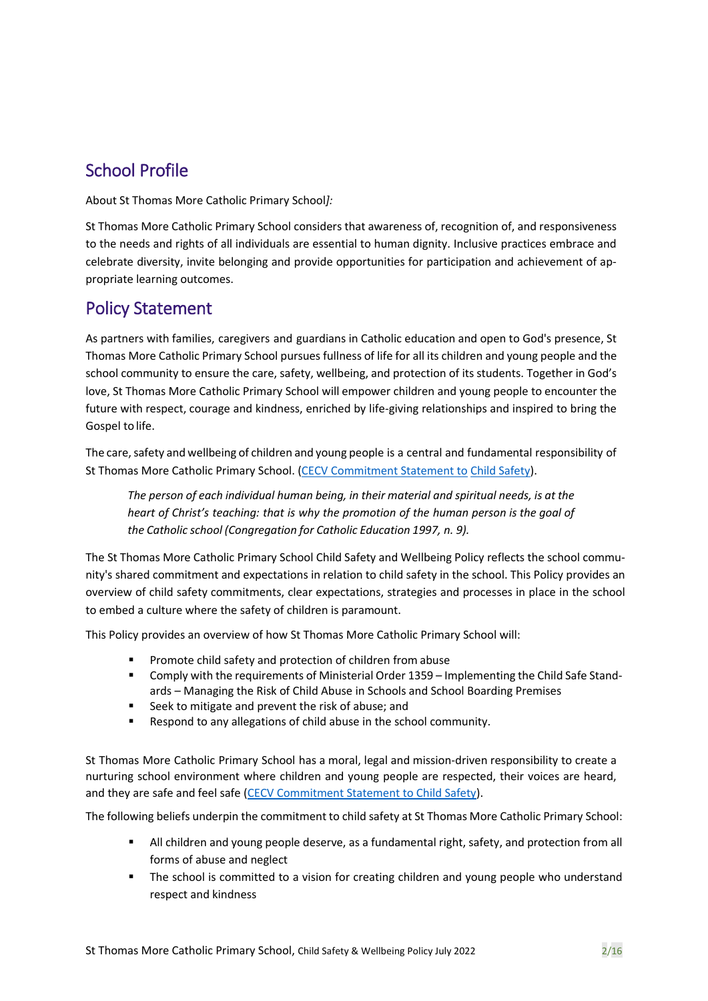## School Profile

About St Thomas More Catholic Primary School*]:*

St Thomas More Catholic Primary School considers that awareness of, recognition of, and responsiveness to the needs and rights of all individuals are essential to human dignity. Inclusive practices embrace and celebrate diversity, invite belonging and provide opportunities for participation and achievement of appropriate learning outcomes.

## Policy Statement

As partners with families, caregivers and guardians in Catholic education and open to God's presence, St Thomas More Catholic Primary School pursues fullness of life for all its children and young people and the school community to ensure the care, safety, wellbeing, and protection of its students. Together in God's love, St Thomas More Catholic Primary School will empower children and young people to encounter the future with respect, courage and kindness, enriched by life-giving relationships and inspired to bring the Gospel to life.

The care, safety and wellbeing of children and young people is a central and fundamental responsibility of St Thomas More Catholic Primary School. [\(CECV Commitment Statement to](https://cevn.cecv.catholic.edu.au/Melb/Document-File/Child-Safety/About/Commitment-Statement-A4.aspx) Child [Safety\)](https://www.education.vic.gov.au/Documents/about/programs/health/protect/PROTECT_Responding_TemplateSchools.pdf?id=8589940582).

*The person of each individual human being, in their material and spiritual needs, is at the heart of Christ's teaching: that is why the promotion of the human person is the goal of the Catholic school (Congregation for Catholic Education 1997, n. 9).*

The St Thomas More Catholic Primary School Child Safety and Wellbeing Policy reflects the school community's shared commitment and expectations in relation to child safety in the school. This Policy provides an overview of child safety commitments, clear expectations, strategies and processes in place in the school to embed a culture where the safety of children is paramount.

This Policy provides an overview of how St Thomas More Catholic Primary School will:

- Promote child safety and protection of children from abuse
- Comply with the requirements of Ministerial Order 1359 Implementing the Child Safe Standards – Managing the Risk of Child Abuse in Schools and School Boarding Premises
- Seek to mitigate and prevent the risk of abuse; and
- Respond to any allegations of child abuse in the school community.

St Thomas More Catholic Primary School has a moral, legal and mission-driven responsibility to create a nurturing school environment where children and young people are respected, their voices are heard, and they are safe and feel safe [\(CECV Commitment Statement to Child](https://www.cecv.catholic.edu.au/getmedia/b5d43278-51b9-4704-b45a-f14e50546a70/Commitment-Statement-A4.aspx) Safety).

The following beliefs underpin the commitment to child safety at St Thomas More Catholic Primary School:

- All children and young people deserve, as a fundamental right, safety, and protection from all forms of abuse and neglect
- The school is committed to a vision for creating children and young people who understand respect and kindness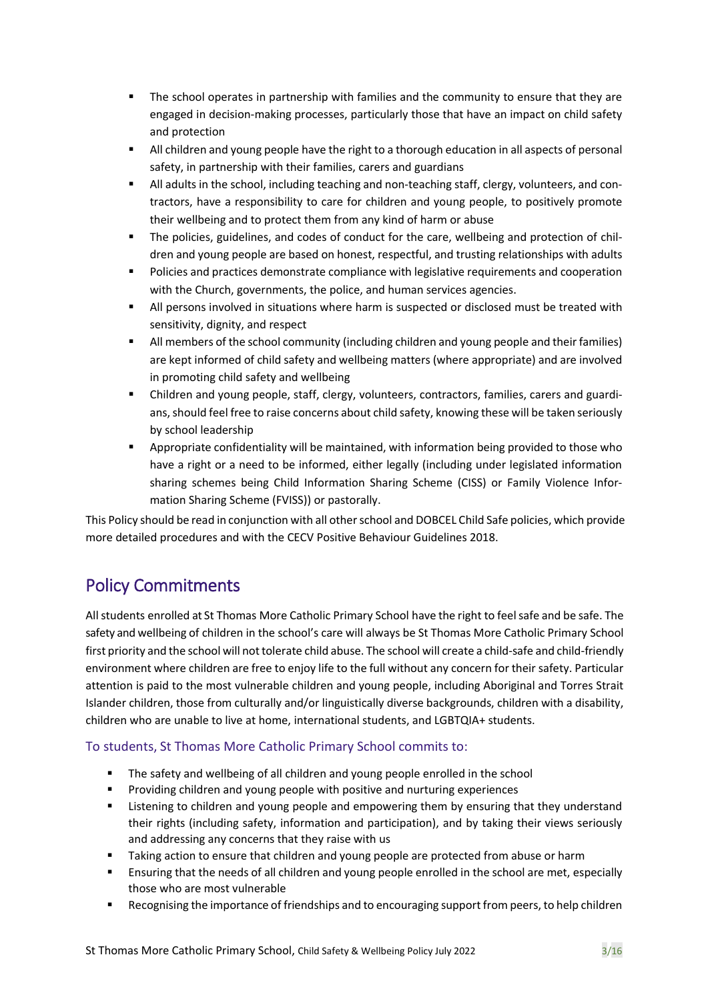- The school operates in partnership with families and the community to ensure that they are engaged in decision-making processes, particularly those that have an impact on child safety and protection
- All children and young people have the right to a thorough education in all aspects of personal safety, in partnership with their families, carers and guardians
- All adults in the school, including teaching and non-teaching staff, clergy, volunteers, and contractors, have a responsibility to care for children and young people, to positively promote their wellbeing and to protect them from any kind of harm or abuse
- The policies, guidelines, and codes of conduct for the care, wellbeing and protection of children and young people are based on honest, respectful, and trusting relationships with adults
- Policies and practices demonstrate compliance with legislative requirements and cooperation with the Church, governments, the police, and human services agencies.
- All persons involved in situations where harm is suspected or disclosed must be treated with sensitivity, dignity, and respect
- All members of the school community (including children and young people and their families) are kept informed of child safety and wellbeing matters (where appropriate) and are involved in promoting child safety and wellbeing
- Children and young people, staff, clergy, volunteers, contractors, families, carers and guardians, should feel free to raise concerns about child safety, knowing these will be taken seriously by school leadership
- Appropriate confidentiality will be maintained, with information being provided to those who have a right or a need to be informed, either legally (including under legislated information sharing schemes being Child Information Sharing Scheme (CISS) or Family Violence Information Sharing Scheme (FVISS)) or pastorally.

This Policy should be read in conjunction with all other school and DOBCEL Child Safe policies, which provide more detailed procedures and with the CECV Positive Behaviour Guidelines 2018.

## Policy Commitments

All students enrolled at St Thomas More Catholic Primary School have the right to feel safe and be safe. The safety and wellbeing of children in the school's care will always be St Thomas More Catholic Primary School first priority and the school will not tolerate child abuse. The school will create a child-safe and child-friendly environment where children are free to enjoy life to the full without any concern for their safety. Particular attention is paid to the most vulnerable children and young people, including Aboriginal and Torres Strait Islander children, those from culturally and/or linguistically diverse backgrounds, children with a disability, children who are unable to live at home, international students, and LGBTQIA+ students.

#### To students, St Thomas More Catholic Primary School commits to:

- The safety and wellbeing of all children and young people enrolled in the school
- Providing children and young people with positive and nurturing experiences
- **■** Listening to children and young people and empowering them by ensuring that they understand their rights (including safety, information and participation), and by taking their views seriously and addressing any concerns that they raise with us
- Taking action to ensure that children and young people are protected from abuse or harm
- **E** Ensuring that the needs of all children and young people enrolled in the school are met, especially those who are most vulnerable
- Recognising the importance of friendships and to encouraging support from peers, to help children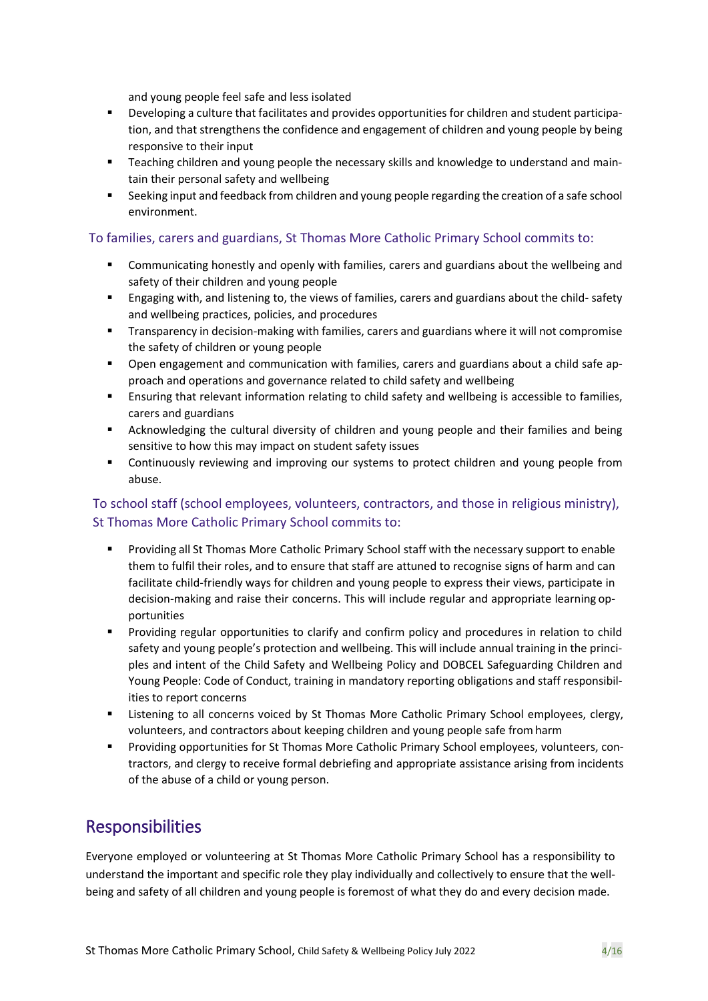and young people feel safe and less isolated

- Developing a culture that facilitates and provides opportunities for children and student participation, and that strengthens the confidence and engagement of children and young people by being responsive to their input
- **EXECT** Teaching children and young people the necessary skills and knowledge to understand and maintain their personal safety and wellbeing
- Seeking input and feedback from children and young people regarding the creation of a safe school environment.

#### To families, carers and guardians, St Thomas More Catholic Primary School commits to:

- Communicating honestly and openly with families, carers and guardians about the wellbeing and safety of their children and young people
- **E** Engaging with, and listening to, the views of families, carers and guardians about the child- safety and wellbeing practices, policies, and procedures
- **•** Transparency in decision-making with families, carers and guardians where it will not compromise the safety of children or young people
- Open engagement and communication with families, carers and guardians about a child safe approach and operations and governance related to child safety and wellbeing
- **E** Ensuring that relevant information relating to child safety and wellbeing is accessible to families, carers and guardians
- Acknowledging the cultural diversity of children and young people and their families and being sensitive to how this may impact on student safety issues
- **•** Continuously reviewing and improving our systems to protect children and young people from abuse.

#### To school staff (school employees, volunteers, contractors, and those in religious ministry), St Thomas More Catholic Primary School commits to:

- Providing all St Thomas More Catholic Primary School staff with the necessary support to enable them to fulfil their roles, and to ensure that staff are attuned to recognise signs of harm and can facilitate child-friendly ways for children and young people to express their views, participate in decision-making and raise their concerns. This will include regular and appropriate learning opportunities
- Providing regular opportunities to clarify and confirm policy and procedures in relation to child safety and young people's protection and wellbeing. This will include annual training in the principles and intent of the Child Safety and Wellbeing Policy and DOBCEL Safeguarding Children and Young People: Code of Conduct, training in mandatory reporting obligations and staff responsibilities to report concerns
- **EXECT** Listening to all concerns voiced by St Thomas More Catholic Primary School employees, clergy, volunteers, and contractors about keeping children and young people safe fromharm
- Providing opportunities for St Thomas More Catholic Primary School employees, volunteers, contractors, and clergy to receive formal debriefing and appropriate assistance arising from incidents of the abuse of a child or young person.

### **Responsibilities**

Everyone employed or volunteering at St Thomas More Catholic Primary School has a responsibility to understand the important and specific role they play individually and collectively to ensure that the wellbeing and safety of all children and young people is foremost of what they do and every decision made.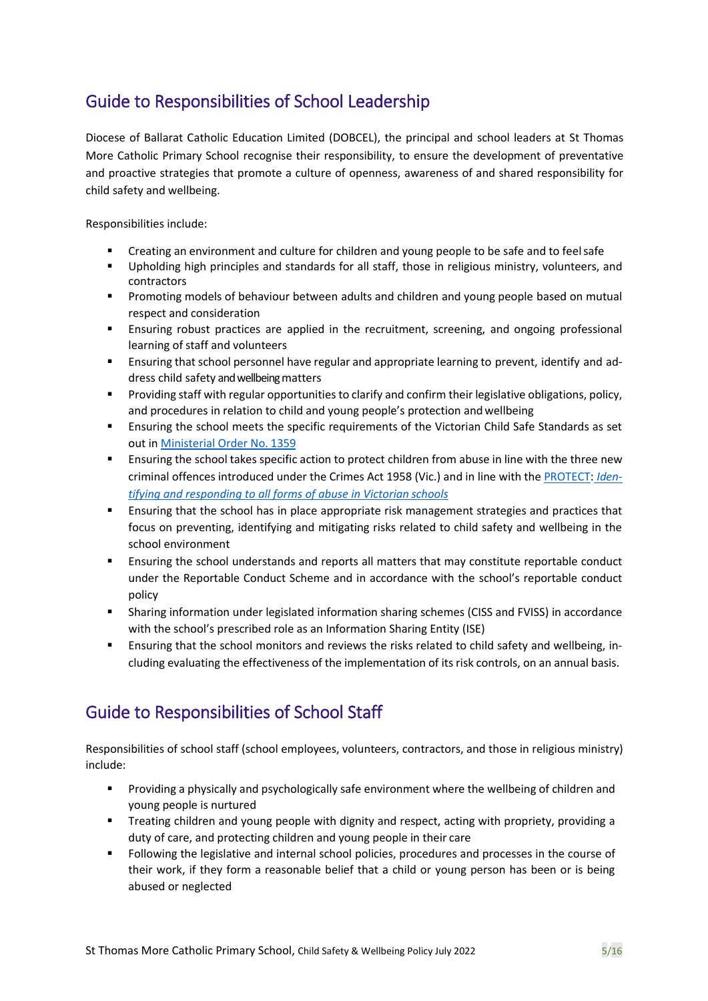## Guide to Responsibilities of School Leadership

Diocese of Ballarat Catholic Education Limited (DOBCEL), the principal and school leaders at St Thomas More Catholic Primary School recognise their responsibility, to ensure the development of preventative and proactive strategies that promote a culture of openness, awareness of and shared responsibility for child safety and wellbeing.

Responsibilities include:

- Creating an environment and culture for children and young people to be safe and to feel safe
- Upholding high principles and standards for all staff, those in religious ministry, volunteers, and contractors
- **•** Promoting models of behaviour between adults and children and young people based on mutual respect and consideration
- **E** Ensuring robust practices are applied in the recruitment, screening, and ongoing professional learning of staff and volunteers
- **Ensuring that school personnel have regular and appropriate learning to prevent, identify and ad**dress child safety and wellbeing matters
- Providing staff with regular opportunities to clarify and confirm their legislative obligations, policy, and procedures in relation to child and young people's protection andwellbeing
- Ensuring the school meets the specific requirements of the Victorian Child Safe Standards as set out in [Ministerial Order No.](https://www.education.vic.gov.au/Documents/about/programs/health/protect/Ministerial_Order.pdf) 1359
- **E** Ensuring the school takes specific action to protect children from abuse in line with the three new criminal offences introduced under the Crimes Act 1958 (Vic.) and in line with the [PROTECT](http://www.gazette.vic.gov.au/gazette/Gazettes2016/GG2016S002.pdf)[:](http://www.gazette.vic.gov.au/gazette/Gazettes2016/GG2016S002.pdf) *[Iden](https://www.cecv.catholic.edu.au/getmedia/ebe135a4-d1b3-48a0-81fe-50d4fc451bcd/Identifying-and-Responding-to-All-Forms-of-Abuse.aspx#page%3D10)[tifying and responding to all forms of abuse in Victorian](https://www.cecv.catholic.edu.au/getmedia/ebe135a4-d1b3-48a0-81fe-50d4fc451bcd/Identifying-and-Responding-to-All-Forms-of-Abuse.aspx#page%3D10) schools*
- Ensuring that the school has in place appropriate risk management strategies and practices that focus on preventing, identifying and mitigating risks related to child safety and wellbeing in the school environment
- Ensuring the school understands and reports all matters that may constitute reportable conduct under the Reportable Conduct Scheme and in accordance with the school's reportable conduct policy
- **•** Sharing information under legislated information sharing schemes (CISS and FVISS) in accordance with the school's prescribed role as an Information Sharing Entity (ISE)
- **Ensuring that the school monitors and reviews the risks related to child safety and wellbeing, in**cluding evaluating the effectiveness of the implementation of its risk controls, on an annual basis.

## Guide to Responsibilities of School Staff

Responsibilities of school staff (school employees, volunteers, contractors, and those in religious ministry) include:

- Providing a physically and psychologically safe environment where the wellbeing of children and young people is nurtured
- **■** Treating children and young people with dignity and respect, acting with propriety, providing a duty of care, and protecting children and young people in their care
- Following the legislative and internal school policies, procedures and processes in the course of their work, if they form a reasonable belief that a child or young person has been or is being abused or neglected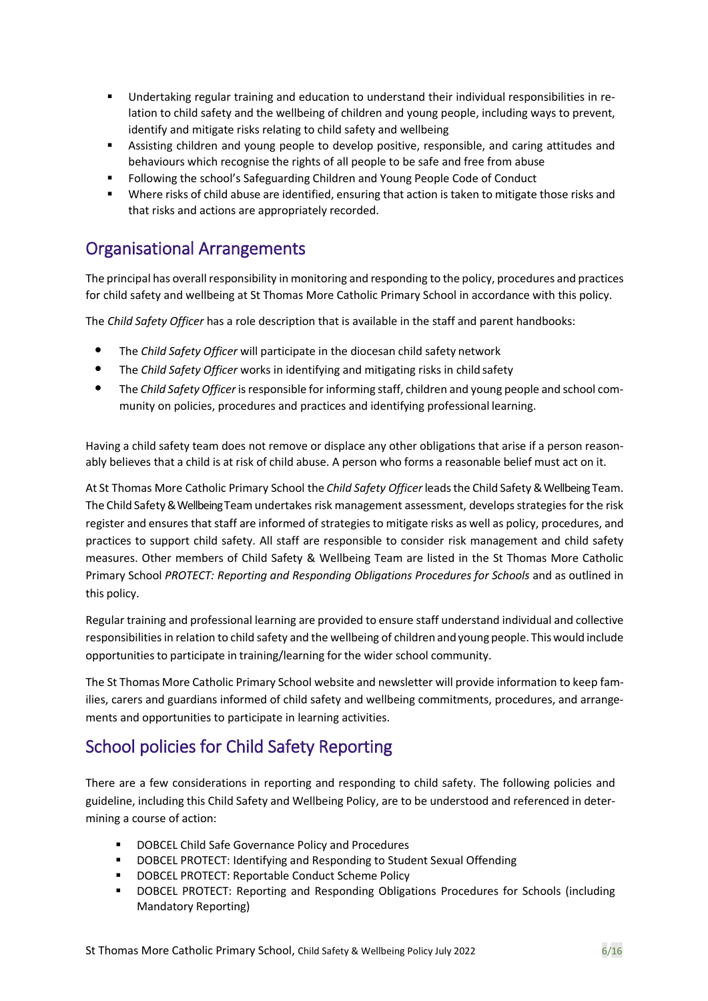- Undertaking regular training and education to understand their individual responsibilities in relation to child safety and the wellbeing of children and young people, including ways to prevent, identify and mitigate risks relating to child safety and wellbeing
- Assisting children and young people to develop positive, responsible, and caring attitudes and behaviours which recognise the rights of all people to be safe and free from abuse
- Following the school's Safeguarding Children and Young People Code of Conduct
- Where risks of child abuse are identified, ensuring that action is taken to mitigate those risks and that risks and actions are appropriately recorded.

### Organisational Arrangements

The principal has overall responsibility in monitoring and responding to the policy, procedures and practices for child safety and wellbeing at St Thomas More Catholic Primary School in accordance with this policy.

The *Child Safety Officer* has a role description that is available in the staff and parent handbooks:

- The *Child Safety Officer* will participate in the diocesan child safety network
- The *Child Safety Officer* works in identifying and mitigating risks in child safety
- The *Child Safety Officer* is responsible for informing staff, children and young people and school community on policies, procedures and practices and identifying professional learning.

Having a child safety team does not remove or displace any other obligations that arise if a person reasonably believes that a child is at risk of child abuse. A person who forms a reasonable belief must act on it.

At St Thomas More Catholic Primary School the *Child Safety Officer* leadsthe Child Safety & Wellbeing Team. The Child Safety& Wellbeing Teamundertakes risk management assessment, develops strategies for the risk register and ensures that staff are informed of strategies to mitigate risks as well as policy, procedures, and practices to support child safety. All staff are responsible to consider risk management and child safety measures. Other members of Child Safety & Wellbeing Team are listed in the St Thomas More Catholic Primary School *PROTECT: Reporting and Responding Obligations Procedures for Schools* and as outlined in this policy.

Regular training and professional learning are provided to ensure staff understand individual and collective responsibilities in relation to child safety and the wellbeing of children and young people. Thiswould include opportunities to participate in training/learning for the wider school community.

The St Thomas More Catholic Primary School website and newsletter will provide information to keep families, carers and guardians informed of child safety and wellbeing commitments, procedures, and arrangements and opportunities to participate in learning activities.

## School policies for Child Safety Reporting

There are a few considerations in reporting and responding to child safety. The following policies and guideline, including this Child Safety and Wellbeing Policy, are to be understood and referenced in determining a course of action:

- DOBCEL Child Safe Governance Policy and Procedures
- DOBCEL PROTECT: Identifying and Responding to Student Sexual Offending
- DOBCEL PROTECT: Reportable Conduct Scheme Policy
- **DOBCEL PROTECT: Reporting and Responding Obligations Procedures for Schools (including** Mandatory Reporting)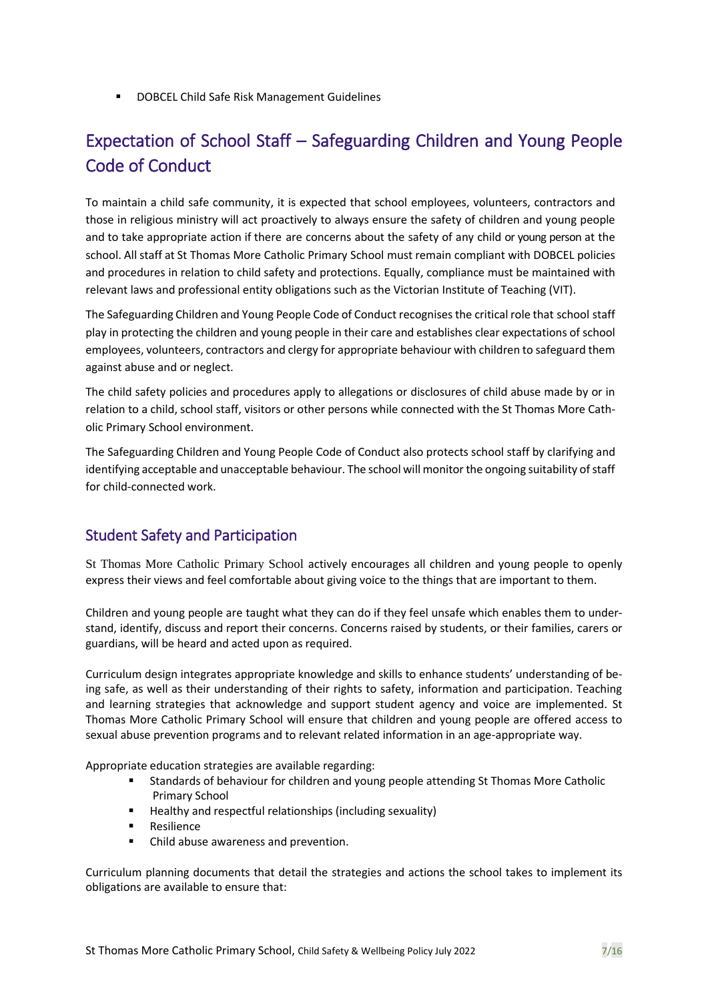■ DOBCEL Child Safe Risk Management Guidelines

## Expectation of School Staff – Safeguarding Children and Young People Code of Conduct

To maintain a child safe community, it is expected that school employees, volunteers, contractors and those in religious ministry will act proactively to always ensure the safety of children and young people and to take appropriate action if there are concerns about the safety of any child or young person at the school. All staff at St Thomas More Catholic Primary School must remain compliant with DOBCEL policies and procedures in relation to child safety and protections. Equally, compliance must be maintained with relevant laws and professional entity obligations such as the Victorian Institute of Teaching (VIT).

The Safeguarding Children and Young People Code of Conduct recognisesthe critical role that school staff play in protecting the children and young people in their care and establishes clear expectations of school employees, volunteers, contractors and clergy for appropriate behaviour with children to safeguard them against abuse and or neglect.

The child safety policies and procedures apply to allegations or disclosures of child abuse made by or in relation to a child, school staff, visitors or other persons while connected with the St Thomas More Catholic Primary School environment.

The Safeguarding Children and Young People Code of Conduct also protects school staff by clarifying and identifying acceptable and unacceptable behaviour. The school will monitor the ongoing suitability of staff for child-connected work.

#### Student Safety and Participation

St Thomas More Catholic Primary School actively encourages all children and young people to openly express their views and feel comfortable about giving voice to the things that are important to them.

Children and young people are taught what they can do if they feel unsafe which enables them to understand, identify, discuss and report their concerns. Concerns raised by students, or their families, carers or guardians, will be heard and acted upon as required.

Curriculum design integrates appropriate knowledge and skills to enhance students' understanding of being safe, as well as their understanding of their rights to safety, information and participation. Teaching and learning strategies that acknowledge and support student agency and voice are implemented. St Thomas More Catholic Primary School will ensure that children and young people are offered access to sexual abuse prevention programs and to relevant related information in an age-appropriate way.

Appropriate education strategies are available regarding:

- Standards of behaviour for children and young people attending St Thomas More Catholic Primary School
- Healthy and respectful relationships (including sexuality)
- **Resilience**
- Child abuse awareness and prevention.

Curriculum planning documents that detail the strategies and actions the school takes to implement its obligations are available to ensure that: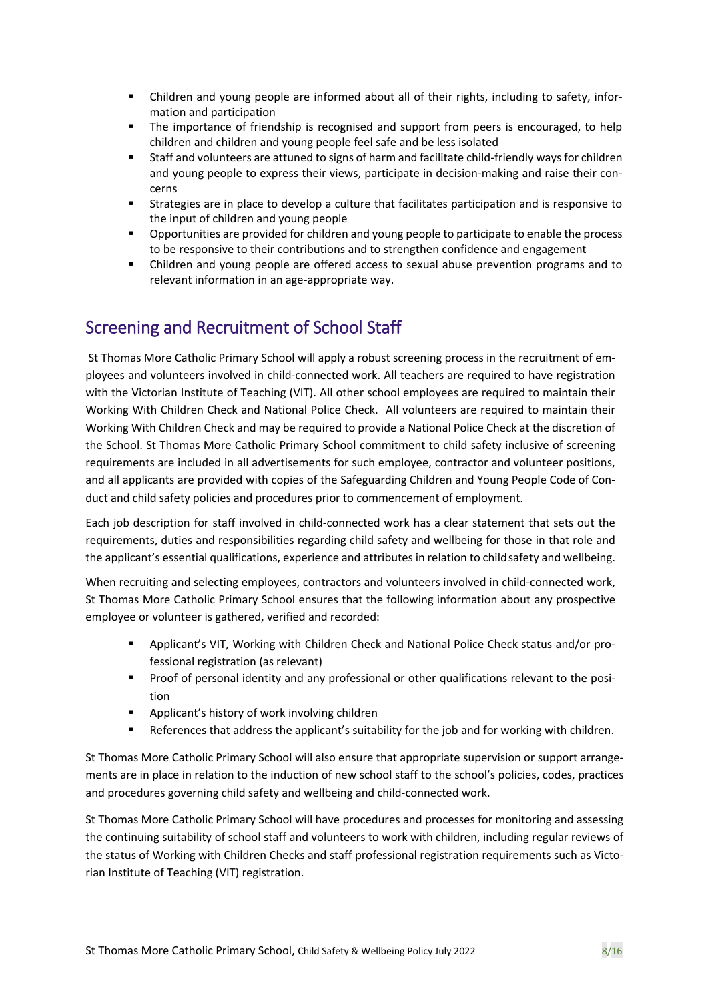- Children and young people are informed about all of their rights, including to safety, information and participation
- The importance of friendship is recognised and support from peers is encouraged, to help children and children and young people feel safe and be less isolated
- Staff and volunteers are attuned to signs of harm and facilitate child-friendly ways for children and young people to express their views, participate in decision-making and raise their concerns
- Strategies are in place to develop a culture that facilitates participation and is responsive to the input of children and young people
- Opportunities are provided for children and young people to participate to enable the process to be responsive to their contributions and to strengthen confidence and engagement
- Children and young people are offered access to sexual abuse prevention programs and to relevant information in an age-appropriate way.

## Screening and Recruitment of School Staff

St Thomas More Catholic Primary School will apply a robust screening process in the recruitment of employees and volunteers involved in child-connected work. All teachers are required to have registration with the Victorian Institute of Teaching (VIT). All other school employees are required to maintain their Working With Children Check and National Police Check. All volunteers are required to maintain their Working With Children Check and may be required to provide a National Police Check at the discretion of the School. St Thomas More Catholic Primary School commitment to child safety inclusive of screening requirements are included in all advertisements for such employee, contractor and volunteer positions, and all applicants are provided with copies of the Safeguarding Children and Young People Code of Conduct and child safety policies and procedures prior to commencement of employment.

Each job description for staff involved in child-connected work has a clear statement that sets out the requirements, duties and responsibilities regarding child safety and wellbeing for those in that role and the applicant's essential qualifications, experience and attributes in relation to child safety and wellbeing.

When recruiting and selecting employees, contractors and volunteers involved in child-connected work, St Thomas More Catholic Primary School ensures that the following information about any prospective employee or volunteer is gathered, verified and recorded:

- Applicant's VIT, Working with Children Check and National Police Check status and/or professional registration (as relevant)
- **•** Proof of personal identity and any professional or other qualifications relevant to the position
- Applicant's history of work involving children
- References that address the applicant's suitability for the job and for working with children.

St Thomas More Catholic Primary School will also ensure that appropriate supervision or support arrangements are in place in relation to the induction of new school staff to the school's policies, codes, practices and procedures governing child safety and wellbeing and child-connected work.

St Thomas More Catholic Primary School will have procedures and processes for monitoring and assessing the continuing suitability of school staff and volunteers to work with children, including regular reviews of the status of Working with Children Checks and staff professional registration requirements such as Victorian Institute of Teaching (VIT) registration.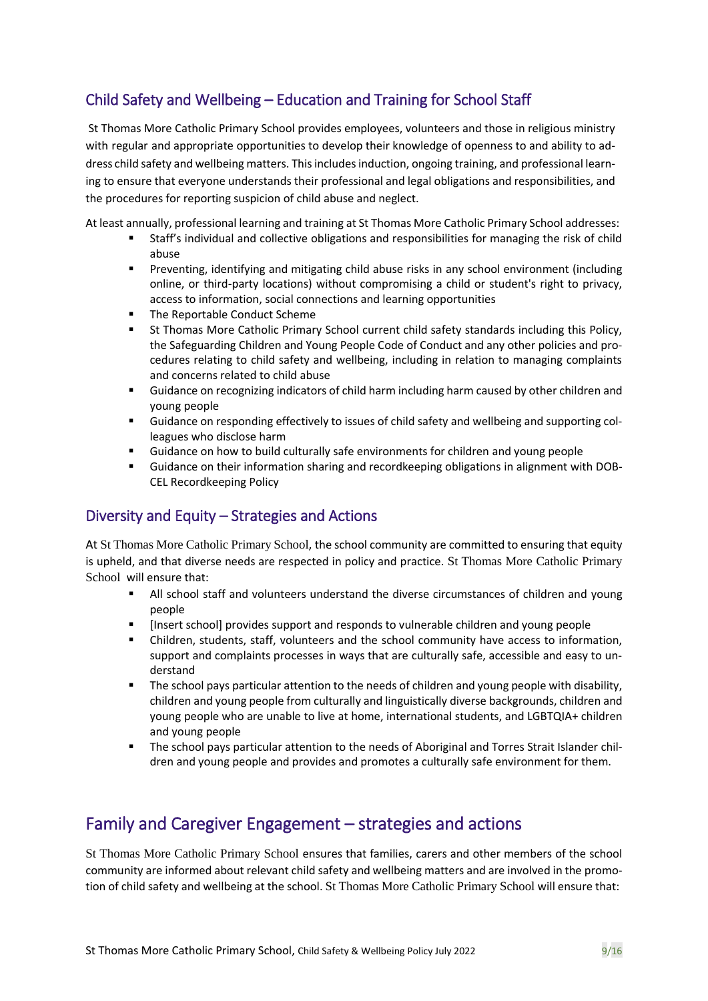## Child Safety and Wellbeing – Education and Training for School Staff

St Thomas More Catholic Primary School provides employees, volunteers and those in religious ministry with regular and appropriate opportunities to develop their knowledge of openness to and ability to address child safety and wellbeing matters. This includes induction, ongoing training, and professional learning to ensure that everyone understands their professional and legal obligations and responsibilities, and the procedures for reporting suspicion of child abuse and neglect.

At least annually, professional learning and training at St Thomas More Catholic Primary School addresses:

- Staff's individual and collective obligations and responsibilities for managing the risk of child abuse
- **•** Preventing, identifying and mitigating child abuse risks in any school environment (including online, or third-party locations) without compromising a child or student's right to privacy, access to information, social connections and learning opportunities
- The Reportable Conduct Scheme
- St Thomas More Catholic Primary School current child safety standards including this Policy, the Safeguarding Children and Young People Code of Conduct and any other policies and procedures relating to child safety and wellbeing, including in relation to managing complaints and concerns related to child abuse
- **■** Guidance on recognizing indicators of child harm including harm caused by other children and young people
- Guidance on responding effectively to issues of child safety and wellbeing and supporting colleagues who disclose harm
- Guidance on how to build culturally safe environments for children and young people
- Guidance on their information sharing and recordkeeping obligations in alignment with DOB-CEL Recordkeeping Policy

#### Diversity and Equity – Strategies and Actions

At St Thomas More Catholic Primary School, the school community are committed to ensuring that equity is upheld, and that diverse needs are respected in policy and practice. St Thomas More Catholic Primary School will ensure that:

- All school staff and volunteers understand the diverse circumstances of children and young people
- [Insert school] provides support and responds to vulnerable children and young people
- Children, students, staff, volunteers and the school community have access to information, support and complaints processes in ways that are culturally safe, accessible and easy to understand
- The school pays particular attention to the needs of children and young people with disability, children and young people from culturally and linguistically diverse backgrounds, children and young people who are unable to live at home, international students, and LGBTQIA+ children and young people
- The school pays particular attention to the needs of Aboriginal and Torres Strait Islander children and young people and provides and promotes a culturally safe environment for them.

## Family and Caregiver Engagement – strategies and actions

St Thomas More Catholic Primary School ensures that families, carers and other members of the school community are informed about relevant child safety and wellbeing matters and are involved in the promotion of child safety and wellbeing at the school. St Thomas More Catholic Primary School will ensure that: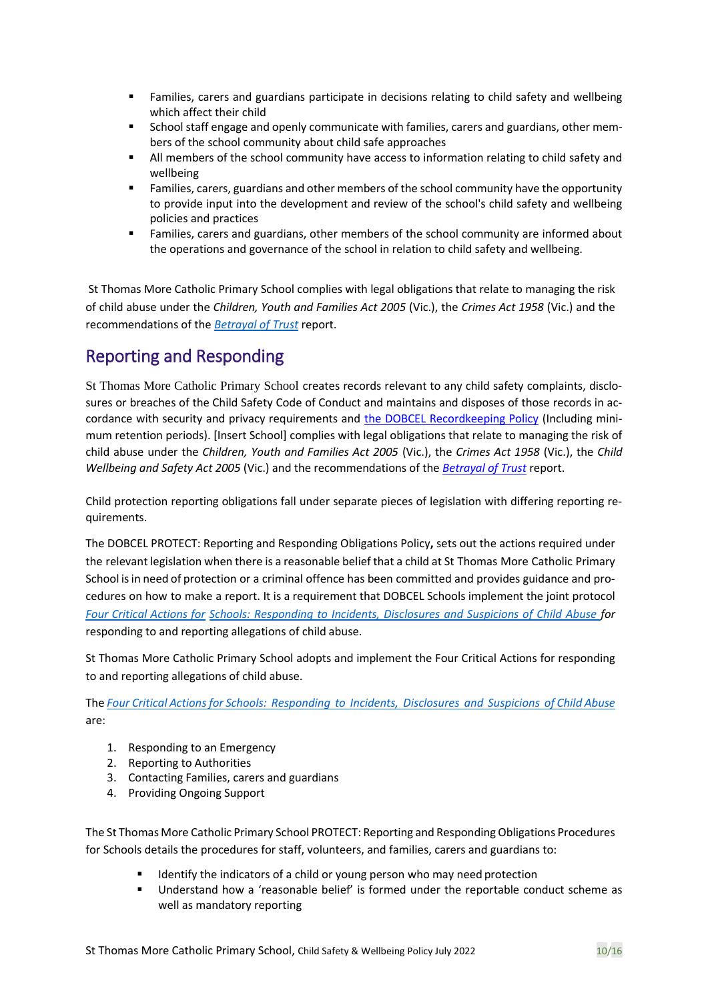- **EXECT** Families, carers and guardians participate in decisions relating to child safety and wellbeing which affect their child
- School staff engage and openly communicate with families, carers and guardians, other members of the school community about child safe approaches
- All members of the school community have access to information relating to child safety and wellbeing
- Families, carers, guardians and other members of the school community have the opportunity to provide input into the development and review of the school's child safety and wellbeing policies and practices
- Families, carers and guardians, other members of the school community are informed about the operations and governance of the school in relation to child safety and wellbeing.

St Thomas More Catholic Primary School complies with legal obligations that relate to managing the risk of child abuse under the *Children, Youth and Families Act 2005* (Vic.), the *Crimes Act 1958* (Vic.) and the recommendations of the *[Betrayal of Trust](https://www.parliament.vic.gov.au/fcdc/article/1788)* report.

## Reporting and Responding

St Thomas More Catholic Primary School creates records relevant to any child safety complaints, disclosures or breaches of the Child Safety Code of Conduct and maintains and disposes of those records in accordance with security and privacy requirements and the DOBCEL Recordkeeping Policy (Including minimum retention periods). [Insert School] complies with legal obligations that relate to managing the risk of child abuse under the *Children, Youth and Families Act 2005* (Vic.), the *Crimes Act 1958* (Vic.), the *Child Wellbeing and Safety Act 2005* (Vic.) and the recommendations of the *[Betrayal of Trust](http://www.parliament.vic.gov.au/fcdc/article/1788)* report.

Child protection reporting obligations fall under separate pieces of legislation with differing reporting requirements.

The DOBCEL PROTECT: Reporting and Responding Obligations Policy**,** sets out the actions required under the relevant legislation when there is a reasonable belief that a child at St Thomas More Catholic Primary School is in need of protection or a criminal offence has been committed and provides guidance and procedures on how to make a report. It is a requirement that DOBCEL Schools implement the joint protocol *Four Critical [Actions](http://www.cecv.catholic.edu.au/getmedia/ebe135a4-d1b3-48a0-81fe-50d4fc451bcd/Identifying-and-Responding-to-All-Forms-of-Abuse.aspx) for [Schools: Responding to Incidents, Disclosures and Suspicions of Child Abuse f](https://www.education.vic.gov.au/Documents/about/programs/health/protect/FourCriticalActions_ChildAbuse.pdf#page%3D12)or*  responding to and reporting allegations of child abuse.

St Thomas More Catholic Primary School adopts and implement the Four Critical Actions for responding to and reporting allegations of child abuse.

The *[Four Critical Actions for Schools: Responding to Incidents, Disclosures and Suspicions of Child Abuse](https://www.education.vic.gov.au/Documents/about/programs/health/protect/FourCriticalActions_ChildAbuse.pdf#page%3D12)*  are:

- 1. Responding to an Emergency
- 2. Reporting to Authorities
- 3. Contacting Families, carers and guardians
- 4. Providing Ongoing Support

The St Thomas More Catholic Primary School PROTECT: Reporting and Responding Obligations Procedures for Schools details the procedures for staff, volunteers, and families, carers and guardians to:

- Identify the indicators of a child or young person who may need protection
- Understand how a 'reasonable belief' is formed under the reportable conduct scheme as well as mandatory reporting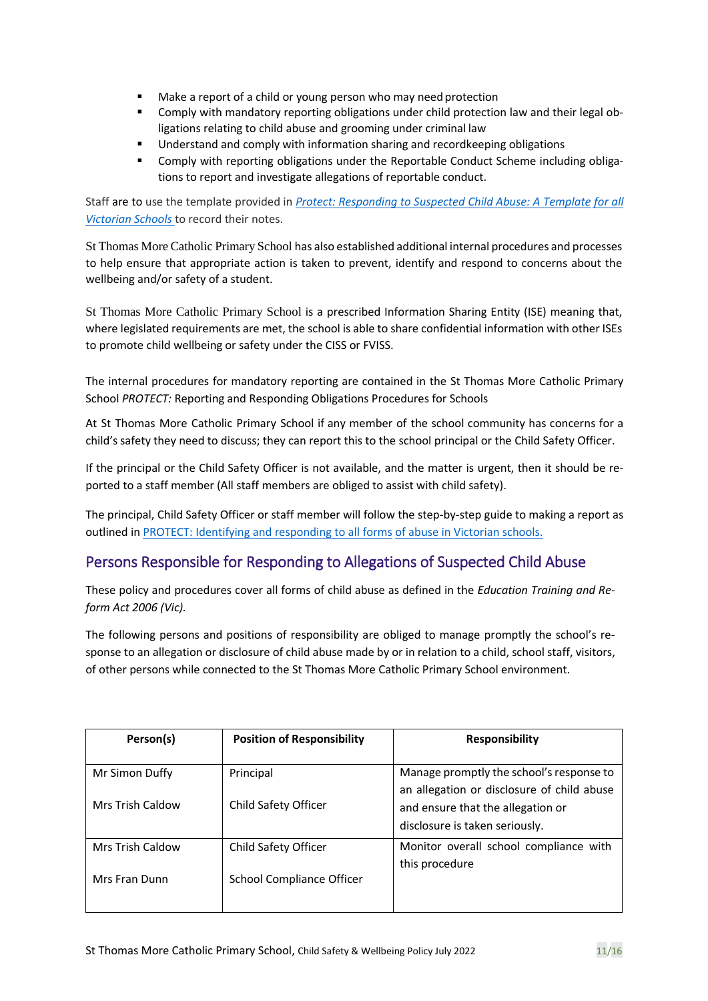- Make a report of a child or young person who may need protection
- Comply with mandatory reporting obligations under child protection law and their legal obligations relating to child abuse and grooming under criminal law
- **■** Understand and comply with information sharing and recordkeeping obligations
- Comply with reporting obligations under the Reportable Conduct Scheme including obligations to report and investigate allegations of reportable conduct.

Staff are to use the template provided in *[Protect: Responding to Suspected Child Abuse: A Template](https://www.education.vic.gov.au/Documents/about/programs/health/protect/PROTECT_Schoolstemplate.pdf) [for all](http://www.cecv.catholic.edu.au/getmedia/ebe135a4-d1b3-48a0-81fe-50d4fc451bcd/Identifying-and-Responding-to-All-Forms-of-Abuse.aspx)  [Victorian Schools](http://www.cecv.catholic.edu.au/getmedia/ebe135a4-d1b3-48a0-81fe-50d4fc451bcd/Identifying-and-Responding-to-All-Forms-of-Abuse.aspx)* to record their notes.

St Thomas More Catholic Primary School has also established additional internal procedures and processes to help ensure that appropriate action is taken to prevent, identify and respond to concerns about the wellbeing and/or safety of a student.

St Thomas More Catholic Primary School is a prescribed Information Sharing Entity (ISE) meaning that, where legislated requirements are met, the school is able to share confidential information with other ISEs to promote child wellbeing or safety under the CISS or FVISS.

The internal procedures for mandatory reporting are contained in the St Thomas More Catholic Primary School *PROTECT:* Reporting and Responding Obligations Procedures for Schools

At St Thomas More Catholic Primary School if any member of the school community has concerns for a child'ssafety they need to discuss; they can report this to the school principal or the Child Safety Officer.

If the principal or the Child Safety Officer is not available, and the matter is urgent, then it should be reported to a staff member (All staff members are obliged to assist with child safety).

The principal, Child Safety Officer or staff member will follow the step-by-step guide to making a report as outlined i[n PROTECT: Identifying and responding to all forms](https://www.cecv.catholic.edu.au/getmedia/ebe135a4-d1b3-48a0-81fe-50d4fc451bcd/Identifying-and-Responding-to-All-Forms-of-Abuse.aspx#page%3D10) [of abuse in Victorian schools.](http://www.cecv.catholic.edu.au/getmedia/ebe135a4-d1b3-48a0-81fe-50d4fc451bcd/Identifying-and-Responding-to-All-Forms-of-Abuse.aspx#page%3D7)

#### Persons Responsible for Responding to Allegations of Suspected Child Abuse

These policy and procedures cover all forms of child abuse as defined in the *Education Training and Reform Act 2006 (Vic).*

The following persons and positions of responsibility are obliged to manage promptly the school's response to an allegation or disclosure of child abuse made by or in relation to a child, school staff, visitors, of other persons while connected to the St Thomas More Catholic Primary School environment.

| Person(s)                                 | <b>Position of Responsibility</b> | <b>Responsibility</b>                                                                                                                                         |
|-------------------------------------------|-----------------------------------|---------------------------------------------------------------------------------------------------------------------------------------------------------------|
| Mr Simon Duffy<br><b>Mrs Trish Caldow</b> | Principal<br>Child Safety Officer | Manage promptly the school's response to<br>an allegation or disclosure of child abuse<br>and ensure that the allegation or<br>disclosure is taken seriously. |
| <b>Mrs Trish Caldow</b><br>Mrs Fran Dunn  | Child Safety Officer              | Monitor overall school compliance with<br>this procedure                                                                                                      |
|                                           | School Compliance Officer         |                                                                                                                                                               |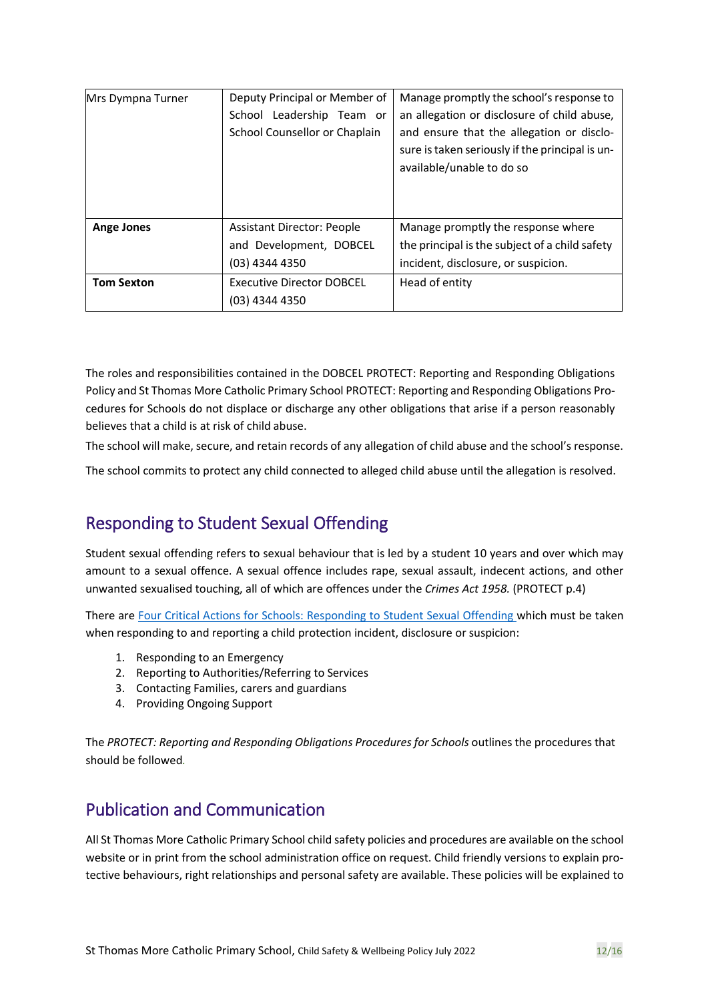| Mrs Dympna Turner | Deputy Principal or Member of    | Manage promptly the school's response to                                                                                  |
|-------------------|----------------------------------|---------------------------------------------------------------------------------------------------------------------------|
|                   | Leadership Team or<br>School     | an allegation or disclosure of child abuse,                                                                               |
|                   | School Counsellor or Chaplain    | and ensure that the allegation or disclo-<br>sure is taken seriously if the principal is un-<br>available/unable to do so |
| <b>Ange Jones</b> | Assistant Director: People       | Manage promptly the response where                                                                                        |
|                   | and Development, DOBCEL          | the principal is the subject of a child safety                                                                            |
|                   | (03) 4344 4350                   | incident, disclosure, or suspicion.                                                                                       |
| <b>Tom Sexton</b> | <b>Executive Director DOBCEL</b> | Head of entity                                                                                                            |
|                   | (03) 4344 4350                   |                                                                                                                           |

The roles and responsibilities contained in the DOBCEL PROTECT: Reporting and Responding Obligations Policy and St Thomas More Catholic Primary School PROTECT: Reporting and Responding Obligations Procedures for Schools do not displace or discharge any other obligations that arise if a person reasonably believes that a child is at risk of child abuse.

The school will make, secure, and retain records of any allegation of child abuse and the school's response.

The school commits to protect any child connected to alleged child abuse until the allegation is resolved.

## Responding to Student Sexual Offending

Student sexual offending refers to sexual behaviour that is led by a student 10 years and over which may amount to a sexual offence. A sexual offence includes rape, sexual assault, indecent actions, and other unwanted sexualised touching, all of which are offences under the *Crimes Act 1958.* (PROTECT p.4)

There are [Four Critical Actions for Schools: Responding to Student Sexual Offending w](https://www.education.vic.gov.au/Documents/about/programs/health/protect/FourCriticalActions_SSO.pdf)hich must be taken when responding to and reporting a child protection incident, disclosure or suspicion:

- 1. Responding to an Emergency
- 2. Reporting to Authorities/Referring to Services
- 3. Contacting Families, carers and guardians
- 4. Providing Ongoing Support

The *PROTECT: Reporting and Responding Obligations Procedures for Schools* outlines the procedures that should be followed*.*

## Publication and Communication

All St Thomas More Catholic Primary School child safety policies and procedures are available on the school website or in print from the school administration office on request. Child friendly versions to explain protective behaviours, right relationships and personal safety are available. These policies will be explained to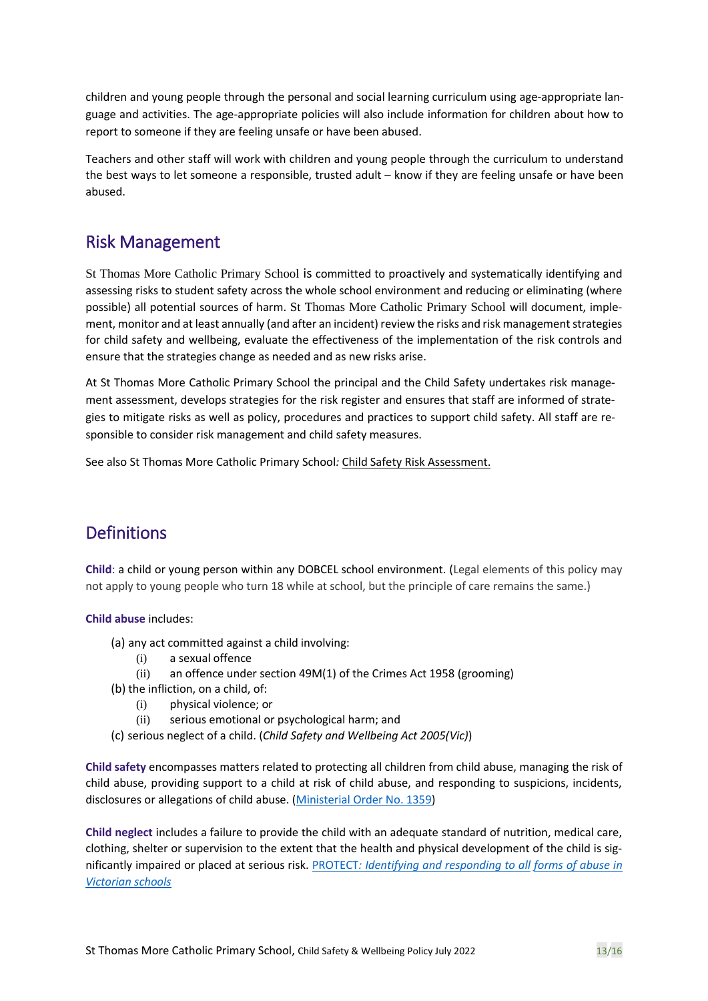children and young people through the personal and social learning curriculum using age-appropriate language and activities. The age-appropriate policies will also include information for children about how to report to someone if they are feeling unsafe or have been abused.

Teachers and other staff will work with children and young people through the curriculum to understand the best ways to let someone a responsible, trusted adult – know if they are feeling unsafe or have been abused.

## Risk Management

St Thomas More Catholic Primary School is committed to proactively and systematically identifying and assessing risks to student safety across the whole school environment and reducing or eliminating (where possible) all potential sources of harm. St Thomas More Catholic Primary School will document, implement, monitor and at least annually (and after an incident) review the risks and risk management strategies for child safety and wellbeing, evaluate the effectiveness of the implementation of the risk controls and ensure that the strategies change as needed and as new risks arise.

At St Thomas More Catholic Primary School the principal and the Child Safety undertakes risk management assessment, develops strategies for the risk register and ensures that staff are informed of strategies to mitigate risks as well as policy, procedures and practices to support child safety. All staff are responsible to consider risk management and child safety measures.

See also St Thomas More Catholic Primary School*:* Child Safety Risk Assessment.

## **Definitions**

**Child**: a child or young person within any DOBCEL school environment. (Legal elements of this policy may not apply to young people who turn 18 while at school, but the principle of care remains the same.)

#### **Child abuse** includes:

- (a) any act committed against a child involving:
	- (i) a sexual offence
	- (ii) an offence under section 49M(1) of the Crimes Act 1958 (grooming)
- (b) the infliction, on a child, of:
	- (i) physical violence; or
	- (ii) serious emotional or psychological harm; and
- (c) serious neglect of a child. (*Child Safety and Wellbeing Act 2005(Vic)*)

**Child safety** encompasses matters related to protecting all children from child abuse, managing the risk of child abuse, providing support to a child at risk of child abuse, and responding to suspicions, incidents, disclosures or allegations of child abuse. [\(Ministerial Order No. 1359\)](https://www.education.vic.gov.au/Documents/about/programs/health/protect/Ministerial_Order.pdf)

**Child neglect** includes a failure to provide the child with an adequate standard of nutrition, medical care, clothing, shelter or supervision to the extent that the health and physical development of the child is significantly impaired or placed at serious risk. [PROTECT](http://www.cecv.catholic.edu.au/getmedia/ebe135a4-d1b3-48a0-81fe-50d4fc451bcd/Identifying-and-Responding-to-All-Forms-of-Abuse.aspx#page%3D18)*[: Identifying and responding to all](https://www.cecv.catholic.edu.au/getmedia/ebe135a4-d1b3-48a0-81fe-50d4fc451bcd/Identifying-and-Responding-to-All-Forms-of-Abuse.aspx#page%3D10) [forms of abuse in](http://cevn.cecv.catholic.edu.au/WorkArea/DownloadAsset.aspx#page%3D18)  [Victorian schools](http://cevn.cecv.catholic.edu.au/WorkArea/DownloadAsset.aspx#page%3D18)*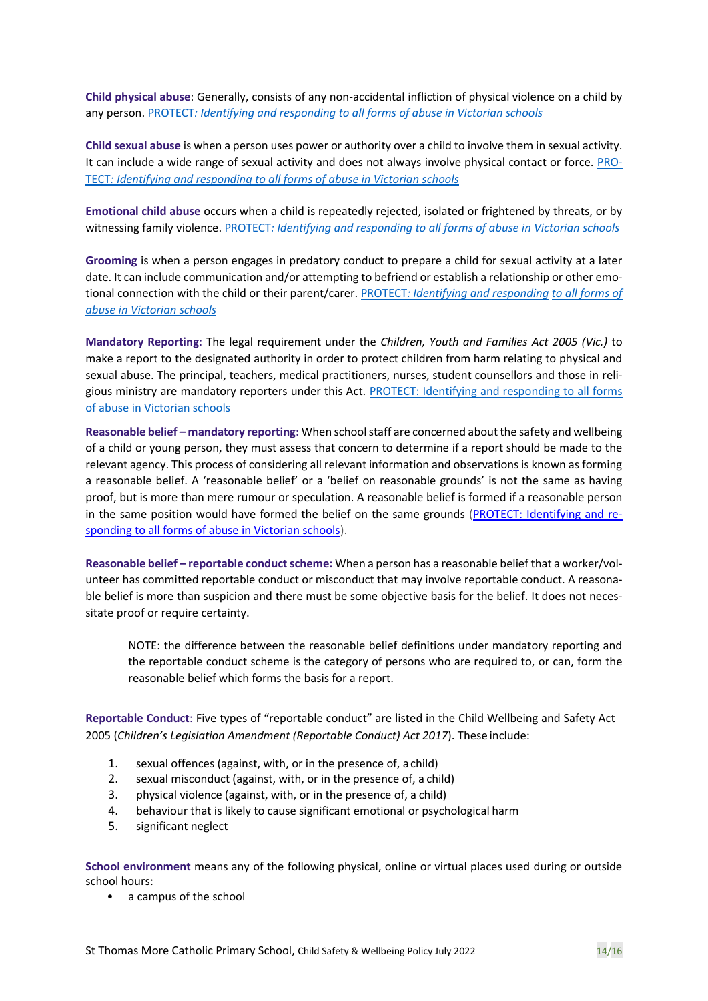**Child physical abuse**: Generally, consists of any non-accidental infliction of physical violence on a child by any person. [PROTECT](http://cevn.cecv.catholic.edu.au/WorkArea/DownloadAsset.aspx#page%3D10)*[: Identifying and responding to all forms of abuse in Victorian schools](https://www.cecv.catholic.edu.au/getmedia/ebe135a4-d1b3-48a0-81fe-50d4fc451bcd/Identifying-and-Responding-to-All-Forms-of-Abuse.aspx#page%3D10)*

**Child sexual abuse** is when a person uses power or authority over a child to involve them in sexual activity. It can include a wide range of sexual activity and does not always involve physical contact or force. [PRO-](http://www.cecv.catholic.edu.au/vcsa/Agreement_2013/VCEMEA_2013.pdf#page%3D12)[TECT](http://www.cecv.catholic.edu.au/vcsa/Agreement_2013/VCEMEA_2013.pdf#page%3D12)*[: Identifying and responding to all forms of abuse in Victorian schools](https://www.cecv.catholic.edu.au/getmedia/ebe135a4-d1b3-48a0-81fe-50d4fc451bcd/Identifying-and-Responding-to-All-Forms-of-Abuse.aspx#page%3D10)*

**Emotional child abuse** occurs when a child is repeatedly rejected, isolated or frightened by threats, or by witnessing family violence[. PROTECT](http://www.cecv.catholic.edu.au/getmedia/ebe135a4-d1b3-48a0-81fe-50d4fc451bcd/Identifying-and-Responding-to-All-Forms-of-Abuse.aspx#page%3D17)[: Identifying and responding to all forms of abuse in Victorian](http://www.gazette.vic.gov.au/gazette/Gazettes2016/GG2016S002.pdf#page%3D17) [schools](http://www.vatican.va/roman_curia/congregations/ccatheduc/documents/rc_con_ccatheduc_doc_27041998_school2000_en.html#page%3D17)

**Grooming** is when a person engages in predatory conduct to prepare a child for sexual activity at a later date. It can include communication and/or attempting to befriend or establish a relationship or other emotional connection with the child or their parent/carer[. PROTECT](http://www.cecv.catholic.edu.au/getmedia/ebe135a4-d1b3-48a0-81fe-50d4fc451bcd/Identifying-and-Responding-to-All-Forms-of-Abuse.aspx#page%3D15)*[: Identifying and responding](https://www.cecv.catholic.edu.au/getmedia/ebe135a4-d1b3-48a0-81fe-50d4fc451bcd/Identifying-and-Responding-to-All-Forms-of-Abuse.aspx#page%3D10) [to all forms of](http://www.cecv.catholic.edu.au/getmedia/ebe135a4-d1b3-48a0-81fe-50d4fc451bcd/Identifying-and-Responding-to-All-Forms-of-Abuse.aspx#page%3D15)  [abuse in Victorian schools](http://www.cecv.catholic.edu.au/getmedia/ebe135a4-d1b3-48a0-81fe-50d4fc451bcd/Identifying-and-Responding-to-All-Forms-of-Abuse.aspx#page%3D15)*

**Mandatory Reporting**: The legal requirement under the *Children, Youth and Families Act 2005 (Vic.)* to make a report to the designated authority in order to protect children from harm relating to physical and sexual abuse. The principal, teachers, medical practitioners, nurses, student counsellors and those in religious ministry are mandatory reporters under this Act. [PROTECT: Identifying and responding to all forms](https://www.cecv.catholic.edu.au/getmedia/ebe135a4-d1b3-48a0-81fe-50d4fc451bcd/Identifying-and-Responding-to-All-Forms-of-Abuse.aspx#page%3D10)  [of abuse in Victorian](https://www.cecv.catholic.edu.au/getmedia/ebe135a4-d1b3-48a0-81fe-50d4fc451bcd/Identifying-and-Responding-to-All-Forms-of-Abuse.aspx#page%3D10) schools

**Reasonable belief – mandatory reporting:** When school staff are concerned about the safety and wellbeing of a child or young person, they must assess that concern to determine if a report should be made to the relevant agency. This process of considering all relevant information and observations is known as forming a reasonable belief. A 'reasonable belief' or a 'belief on reasonable grounds' is not the same as having proof, but is more than mere rumour or speculation. A reasonable belief is formed if a reasonable person in the same position would have formed the belief on the same grounds [\(PROTECT: Identifying and re](http://www.cecv.catholic.edu.au/getmedia/ebe135a4-d1b3-48a0-81fe-50d4fc451bcd/Identifying-and-Responding-to-All-Forms-of-Abuse.aspx#page%3D35)[sponding to all forms of abuse in Victorian schools\)](http://www.cecv.catholic.edu.au/getmedia/ebe135a4-d1b3-48a0-81fe-50d4fc451bcd/Identifying-and-Responding-to-All-Forms-of-Abuse.aspx#page%3D35).

**Reasonable belief – reportable conduct scheme:** When a person has a reasonable belief that a worker/volunteer has committed reportable conduct or misconduct that may involve reportable conduct. A reasonable belief is more than suspicion and there must be some objective basis for the belief. It does not necessitate proof or require certainty.

NOTE: the difference between the reasonable belief definitions under mandatory reporting and the reportable conduct scheme is the category of persons who are required to, or can, form the reasonable belief which forms the basis for a report.

**Reportable Conduct**: Five types of "reportable conduct" are listed in the Child Wellbeing and Safety Act 2005 (*Children's Legislation Amendment (Reportable Conduct) Act 2017*). These include:

- 1. sexual offences (against, with, or in the presence of, a child)
- 2. sexual misconduct (against, with, or in the presence of, a child)
- 3. physical violence (against, with, or in the presence of, a child)
- 4. behaviour that is likely to cause significant emotional or psychological harm
- 5. significant neglect

**School environment** means any of the following physical, online or virtual places used during or outside school hours:

• a campus of the school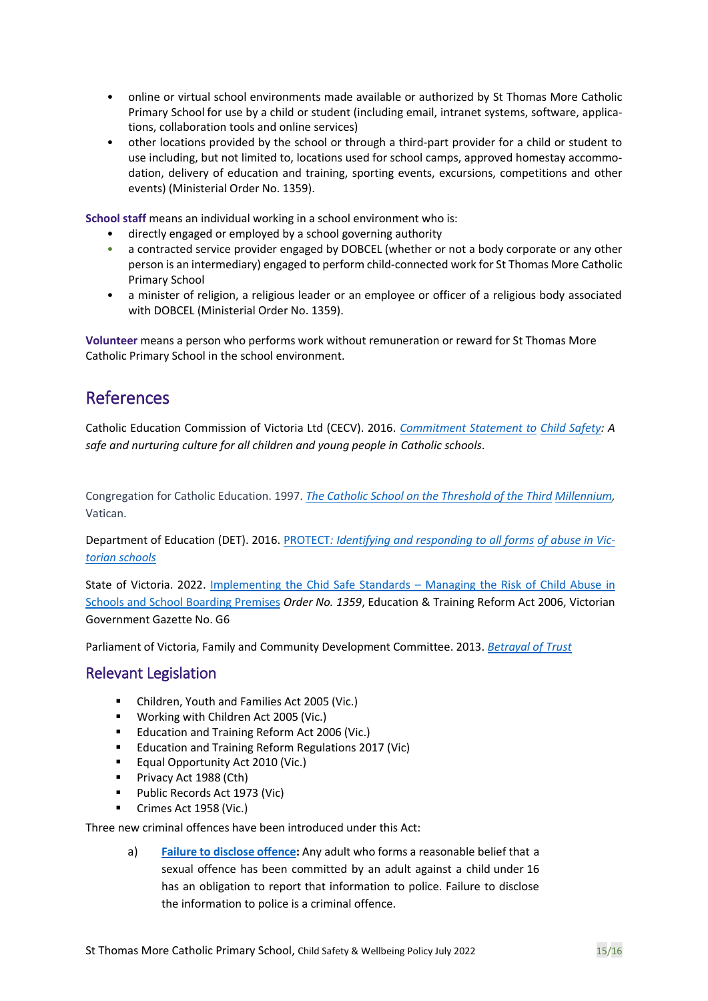- online or virtual school environments made available or authorized by St Thomas More Catholic Primary School for use by a child or student (including email, intranet systems, software, applications, collaboration tools and online services)
- other locations provided by the school or through a third-part provider for a child or student to use including, but not limited to, locations used for school camps, approved homestay accommodation, delivery of education and training, sporting events, excursions, competitions and other events) (Ministerial Order No. 1359).

**School staff** means an individual working in a school environment who is:

- directly engaged or employed by a school governing authority
- a contracted service provider engaged by DOBCEL (whether or not a body corporate or any other person is an intermediary) engaged to perform child-connected work for St Thomas More Catholic Primary School
- a minister of religion, a religious leader or an employee or officer of a religious body associated with DOBCEL (Ministerial Order No. 1359).

**Volunteer** means a person who performs work without remuneration or reward for St Thomas More Catholic Primary School in the school environment.

### References

Catholic Education Commission of Victoria Ltd (CECV). 2016. *[Commitment Statement to](https://cevn.cecv.catholic.edu.au/Melb/Document-File/Child-Safety/About/Commitment-Statement-A4.aspx) [Child Safety:](http://www.cecv.catholic.edu.au/getmedia/ebe135a4-d1b3-48a0-81fe-50d4fc451bcd/Identifying-and-Responding-to-All-Forms-of-Abuse.aspx?id=8589940208) A safe and nurturing culture for all children and young people in Catholic schools*.

Congregation for Catholic Education. 1997. *[The Catholic School on the Threshold of the Third](http://www.vatican.va/roman_curia/congregations/ccatheduc/documents/rc_con_ccatheduc_doc_27041998_school2000_en.html) [Millennium,](http://www.education.vic.gov.au/Documents/about/programs/health/protect/FourCriticalActions_ChildAbuse.pdf)*  Vatican.

Department of Education (DET). 20[16.](https://www.vit.vic.edu.au/news/news/2018/protecting-children-mandatory-reporting-elearning-modules) [PROTECT](http://www.gazette.vic.gov.au/gazette/Gazettes2016/GG2016S002.pdf)*[: Identifying and responding to all forms](https://www.cecv.catholic.edu.au/getmedia/ebe135a4-d1b3-48a0-81fe-50d4fc451bcd/Identifying-and-Responding-to-All-Forms-of-Abuse.aspx#page%3D10) [of abuse in Vic](http://www.cecv.catholic.edu.au/getmedia/ebe135a4-d1b3-48a0-81fe-50d4fc451bcd/Identifying-and-Responding-to-All-Forms-of-Abuse.aspx)[torian](http://www.cecv.catholic.edu.au/getmedia/ebe135a4-d1b3-48a0-81fe-50d4fc451bcd/Identifying-and-Responding-to-All-Forms-of-Abuse.aspx) [schools](http://www.gazette.vic.gov.au/gazette/Gazettes2016/GG2016S002.pdf)*

State of Victoria. 2022. [Implementing the Chid Safe Standards](https://www.education.vic.gov.au/Documents/about/programs/health/protect/Ministerial_Order.pdf) – Managing the Risk of Child Abuse in [Schools and School Boarding Premises](https://www.education.vic.gov.au/Documents/about/programs/health/protect/Ministerial_Order.pdf) *Order No. 1359*, Education & Training Reform Act 2006, Victorian Government Gazette No. G6

Parliament of Victoria, Family and Community Development Committee. 2013. *[Betrayal of Trust](http://www.cecv.catholic.edu.au/getmedia/ebe135a4-d1b3-48a0-81fe-50d4fc451bcd/Identifying-and-Responding-to-All-Forms-of-Abuse.aspx)*

#### Relevant Legislation

- Children, Youth and Families Act 2005 (Vic.)
- Working with Children Act 2005 (Vic.)
- Education and Training Reform Act 2006 (Vic.)
- Education and Training Reform Regulations 2017 (Vic)
- Equal Opportunity Act 2010 (Vic.)
- **•** Privacy Act 1988 (Cth)
- Public Records Act 1973 (Vic)
- Crimes Act 1958 (Vic.)

Three new criminal offences have been introduced under this Act:

a) **[Failure to disclose offence:](https://www.education.vic.gov.au/school/teachers/health/childprotection/Pages/reportobligations.aspx)** Any adult who forms a reasonable belief that a sexual offence has been committed by an adult against a child under 16 has an obligation to report that information to police. Failure to disclose the information to police is a criminal offence.